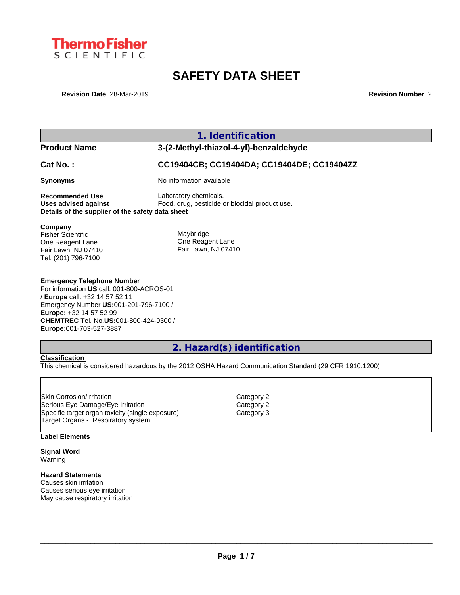

# **SAFETY DATA SHEET**

**Revision Date** 28-Mar-2019 **Revision Number** 2

|                                                                                                                                                                                       | 1. Identification                                                       |
|---------------------------------------------------------------------------------------------------------------------------------------------------------------------------------------|-------------------------------------------------------------------------|
| <b>Product Name</b>                                                                                                                                                                   | 3-(2-Methyl-thiazol-4-yl)-benzaldehyde                                  |
| <b>Cat No.:</b>                                                                                                                                                                       | CC19404CB; CC19404DA; CC19404DE; CC19404ZZ                              |
| Synonyms                                                                                                                                                                              | No information available                                                |
| Recommended Use<br>Uses advised against<br>Details of the supplier of the safety data sheet                                                                                           | Laboratory chemicals.<br>Food, drug, pesticide or biocidal product use. |
| Company<br>Fisher Scientific<br>One Reagent Lane<br>Fair Lawn, NJ 07410<br>Tel: (201) 796-7100                                                                                        | Maybridge<br>One Reagent Lane<br>Fair Lawn, NJ 07410                    |
| <b>Emergency Telephone Number</b><br>For information US call: 001-800-ACROS-01<br>/ Europe call: +32 14 57 52 11<br>Emergency Number US:001-201-796-7100 /<br>Europe: +32 14 57 52 99 |                                                                         |

# **2. Hazard(s) identification**

### **Classification**

**Europe:**001-703-527-3887

This chemical is considered hazardous by the 2012 OSHA Hazard Communication Standard (29 CFR 1910.1200)

Skin Corrosion/Irritation<br>
Serious Eye Damage/Eye Irritation<br>
Category 2 Serious Eye Damage/Eye Irritation Specific target organ toxicity (single exposure) Category 3 Target Organs - Respiratory system.

**CHEMTREC** Tel. No.**US:**001-800-424-9300 /

#### **Label Elements**

**Signal Word** Warning

#### **Hazard Statements**

Causes skin irritation Causes serious eye irritation May cause respiratory irritation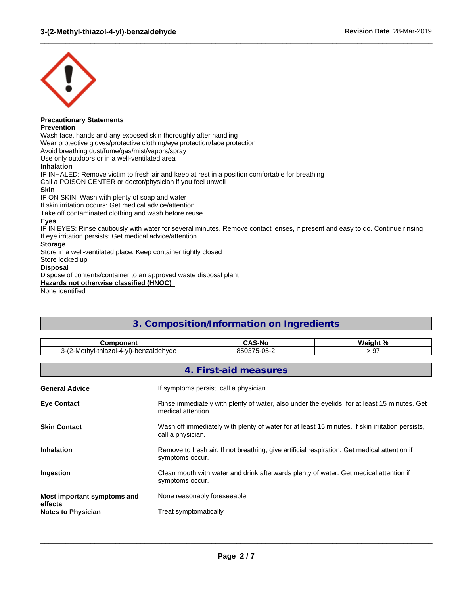

# **Precautionary Statements**

**Prevention**

Wash face, hands and any exposed skin thoroughly after handling Wear protective gloves/protective clothing/eye protection/face protection Avoid breathing dust/fume/gas/mist/vapors/spray Use only outdoors or in a well-ventilated area **Inhalation** IF INHALED: Remove victim to fresh air and keep at rest in a position comfortable for breathing Call a POISON CENTER or doctor/physician if you feel unwell

#### **Skin**

IF ON SKIN: Wash with plenty of soap and water

If skin irritation occurs: Get medical advice/attention

Take off contaminated clothing and wash before reuse

#### **Eyes**

IF IN EYES: Rinse cautiously with water for several minutes. Remove contact lenses, if present and easy to do. Continue rinsing If eye irritation persists: Get medical advice/attention

 $\_$  ,  $\_$  ,  $\_$  ,  $\_$  ,  $\_$  ,  $\_$  ,  $\_$  ,  $\_$  ,  $\_$  ,  $\_$  ,  $\_$  ,  $\_$  ,  $\_$  ,  $\_$  ,  $\_$  ,  $\_$  ,  $\_$  ,  $\_$  ,  $\_$  ,  $\_$  ,  $\_$  ,  $\_$  ,  $\_$  ,  $\_$  ,  $\_$  ,  $\_$  ,  $\_$  ,  $\_$  ,  $\_$  ,  $\_$  ,  $\_$  ,  $\_$  ,  $\_$  ,  $\_$  ,  $\_$  ,  $\_$  ,  $\_$  ,

#### **Storage**

Store in a well-ventilated place. Keep container tightly closed

Store locked up

#### **Disposal**

Dispose of contents/container to an approved waste disposal plant

**Hazards not otherwise classified (HNOC)**

None identified

# **3. Composition/Information on Ingredients Component CAS-No Weight %** 3-(2-Methyl-thiazol-4-yl)-benzaldehyde 850375-05-2 > 97 **4. First-aid measures**

| <b>General Advice</b>                  | If symptoms persist, call a physician.                                                                               |
|----------------------------------------|----------------------------------------------------------------------------------------------------------------------|
| <b>Eye Contact</b>                     | Rinse immediately with plenty of water, also under the eyelids, for at least 15 minutes. Get<br>medical attention.   |
| <b>Skin Contact</b>                    | Wash off immediately with plenty of water for at least 15 minutes. If skin irritation persists,<br>call a physician. |
| <b>Inhalation</b>                      | Remove to fresh air. If not breathing, give artificial respiration. Get medical attention if<br>symptoms occur.      |
| Ingestion                              | Clean mouth with water and drink afterwards plenty of water. Get medical attention if<br>symptoms occur.             |
| Most important symptoms and<br>effects | None reasonably foreseeable.                                                                                         |
| <b>Notes to Physician</b>              | Treat symptomatically                                                                                                |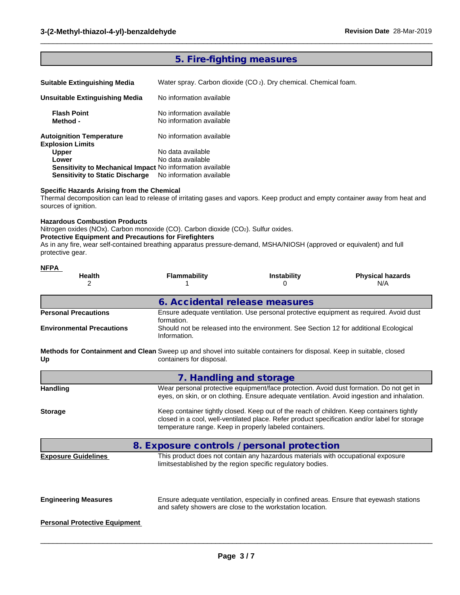## **5. Fire-fighting measures**

| <b>Suitable Extinguishing Media</b> |  |
|-------------------------------------|--|
|                                     |  |

Water spray. Carbon dioxide (CO 2). Dry chemical. Chemical foam.

 $\_$  ,  $\_$  ,  $\_$  ,  $\_$  ,  $\_$  ,  $\_$  ,  $\_$  ,  $\_$  ,  $\_$  ,  $\_$  ,  $\_$  ,  $\_$  ,  $\_$  ,  $\_$  ,  $\_$  ,  $\_$  ,  $\_$  ,  $\_$  ,  $\_$  ,  $\_$  ,  $\_$  ,  $\_$  ,  $\_$  ,  $\_$  ,  $\_$  ,  $\_$  ,  $\_$  ,  $\_$  ,  $\_$  ,  $\_$  ,  $\_$  ,  $\_$  ,  $\_$  ,  $\_$  ,  $\_$  ,  $\_$  ,  $\_$  ,

| Unsuitable Extinguishing Media                             | No information available                             |  |
|------------------------------------------------------------|------------------------------------------------------|--|
| <b>Flash Point</b><br>Method -                             | No information available<br>No information available |  |
| <b>Autoignition Temperature</b><br><b>Explosion Limits</b> | No information available                             |  |
| <b>Upper</b>                                               | No data available                                    |  |
| Lower                                                      | No data available                                    |  |
| Sensitivity to Mechanical Impact No information available  |                                                      |  |
| <b>Sensitivity to Static Discharge</b>                     | No information available                             |  |

#### **Specific Hazards Arising from the Chemical**

Thermal decomposition can lead to release of irritating gases and vapors. Keep product and empty container away from heat and sources of ignition.

#### **Hazardous Combustion Products**

**NFPA** 

Nitrogen oxides (NOx). Carbon monoxide (CO). Carbon dioxide (CO2). Sulfur oxides.

#### **Protective Equipment and Precautions for Firefighters**

As in any fire, wear self-contained breathing apparatus pressure-demand, MSHA/NIOSH (approved or equivalent) and full protective gear.

| Health<br>2                                                                                                                 | <b>Flammability</b>            | Instability                                                                                                                                          | <b>Physical hazards</b><br>N/A                                                                |
|-----------------------------------------------------------------------------------------------------------------------------|--------------------------------|------------------------------------------------------------------------------------------------------------------------------------------------------|-----------------------------------------------------------------------------------------------|
|                                                                                                                             | 6. Accidental release measures |                                                                                                                                                      |                                                                                               |
| <b>Personal Precautions</b>                                                                                                 | formation.                     | Ensure adequate ventilation. Use personal protective equipment as required. Avoid dust                                                               |                                                                                               |
| <b>Environmental Precautions</b>                                                                                            | Information.                   | Should not be released into the environment. See Section 12 for additional Ecological                                                                |                                                                                               |
| Methods for Containment and Clean Sweep up and shovel into suitable containers for disposal. Keep in suitable, closed<br>Up | containers for disposal.       |                                                                                                                                                      |                                                                                               |
|                                                                                                                             | 7. Handling and storage        |                                                                                                                                                      |                                                                                               |
| <b>Handling</b>                                                                                                             |                                | Wear personal protective equipment/face protection. Avoid dust formation. Do not get in                                                              | eyes, on skin, or on clothing. Ensure adequate ventilation. Avoid ingestion and inhalation.   |
| <b>Storage</b>                                                                                                              |                                | Keep container tightly closed. Keep out of the reach of children. Keep containers tightly<br>temperature range. Keep in properly labeled containers. | closed in a cool, well-ventilated place. Refer product specification and/or label for storage |
|                                                                                                                             |                                | 8. Exposure controls / personal protection                                                                                                           |                                                                                               |
| <b>Exposure Guidelines</b>                                                                                                  |                                | This product does not contain any hazardous materials with occupational exposure<br>limitsestablished by the region specific regulatory bodies.      |                                                                                               |
| <b>Engineering Measures</b>                                                                                                 |                                | Ensure adequate ventilation, especially in confined areas. Ensure that eyewash stations<br>and safety showers are close to the workstation location. |                                                                                               |
| <b>Personal Protective Equipment</b>                                                                                        |                                |                                                                                                                                                      |                                                                                               |
|                                                                                                                             |                                |                                                                                                                                                      |                                                                                               |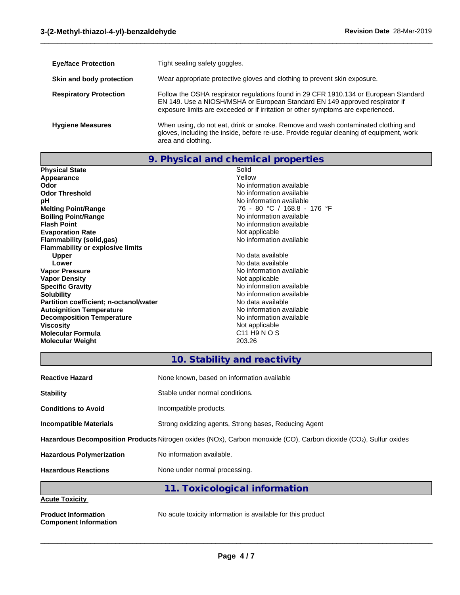| <b>Eye/face Protection</b>    | Tight sealing safety goggles.                                                                                                                                                                                                                           |
|-------------------------------|---------------------------------------------------------------------------------------------------------------------------------------------------------------------------------------------------------------------------------------------------------|
| Skin and body protection      | Wear appropriate protective gloves and clothing to prevent skin exposure.                                                                                                                                                                               |
| <b>Respiratory Protection</b> | Follow the OSHA respirator regulations found in 29 CFR 1910.134 or European Standard<br>EN 149. Use a NIOSH/MSHA or European Standard EN 149 approved respirator if<br>exposure limits are exceeded or if irritation or other symptoms are experienced. |
| <b>Hygiene Measures</b>       | When using, do not eat, drink or smoke. Remove and wash contaminated clothing and<br>gloves, including the inside, before re-use. Provide regular cleaning of equipment, work<br>area and clothing.                                                     |

 $\_$  ,  $\_$  ,  $\_$  ,  $\_$  ,  $\_$  ,  $\_$  ,  $\_$  ,  $\_$  ,  $\_$  ,  $\_$  ,  $\_$  ,  $\_$  ,  $\_$  ,  $\_$  ,  $\_$  ,  $\_$  ,  $\_$  ,  $\_$  ,  $\_$  ,  $\_$  ,  $\_$  ,  $\_$  ,  $\_$  ,  $\_$  ,  $\_$  ,  $\_$  ,  $\_$  ,  $\_$  ,  $\_$  ,  $\_$  ,  $\_$  ,  $\_$  ,  $\_$  ,  $\_$  ,  $\_$  ,  $\_$  ,  $\_$  ,

**9. Physical and chemical properties**

| <b>Physical State</b>                   | Solid                                |
|-----------------------------------------|--------------------------------------|
| Appearance                              | Yellow                               |
| Odor                                    | No information available             |
| <b>Odor Threshold</b>                   | No information available             |
| рH                                      | No information available             |
| <b>Melting Point/Range</b>              | 76 - 80 °C / 168.8 - 176 °F          |
| <b>Boiling Point/Range</b>              | No information available             |
| <b>Flash Point</b>                      | No information available             |
| <b>Evaporation Rate</b>                 | Not applicable                       |
| Flammability (solid,gas)                | No information available             |
| <b>Flammability or explosive limits</b> |                                      |
| Upper                                   | No data available                    |
| Lower                                   | No data available                    |
| <b>Vapor Pressure</b>                   | No information available             |
| <b>Vapor Density</b>                    | Not applicable                       |
| <b>Specific Gravity</b>                 | No information available             |
| <b>Solubility</b>                       | No information available             |
| Partition coefficient; n-octanol/water  | No data available                    |
| <b>Autoignition Temperature</b>         | No information available             |
| <b>Decomposition Temperature</b>        | No information available             |
| <b>Viscosity</b>                        | Not applicable                       |
| Molecular Formula                       | C <sub>11</sub> H <sub>9</sub> N O S |
| <b>Molecular Weight</b>                 | 203.26                               |
|                                         |                                      |

# **10. Stability and reactivity**

| <b>Reactive Hazard</b>          | None known, based on information available                                                                        |
|---------------------------------|-------------------------------------------------------------------------------------------------------------------|
| <b>Stability</b>                | Stable under normal conditions.                                                                                   |
| <b>Conditions to Avoid</b>      | Incompatible products.                                                                                            |
| <b>Incompatible Materials</b>   | Strong oxidizing agents, Strong bases, Reducing Agent                                                             |
|                                 | Hazardous Decomposition Products Nitrogen oxides (NOx), Carbon monoxide (CO), Carbon dioxide (CO2), Sulfur oxides |
| <b>Hazardous Polymerization</b> | No information available.                                                                                         |
| <b>Hazardous Reactions</b>      | None under normal processing.                                                                                     |
|                                 | 11. Toxicological information                                                                                     |
| <b>Acute Toxicity</b>           |                                                                                                                   |

**Component Information**

**Product Information** No acute toxicity information is available for this product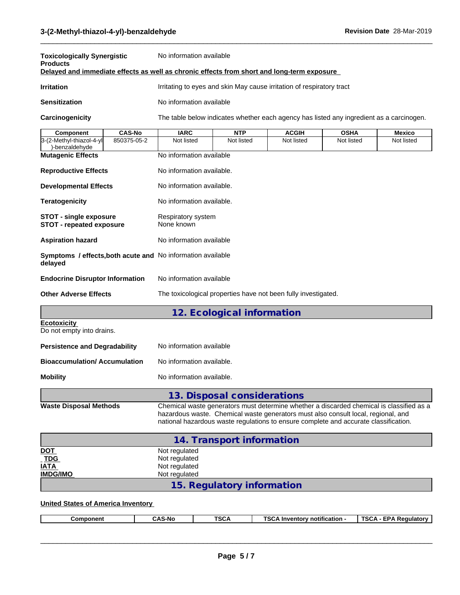| <b>Toxicologically Synergistic</b><br><b>Products</b>                                      |               | No information available                                                                 |            |              |             |            |
|--------------------------------------------------------------------------------------------|---------------|------------------------------------------------------------------------------------------|------------|--------------|-------------|------------|
| Delayed and immediate effects as well as chronic effects from short and long-term exposure |               |                                                                                          |            |              |             |            |
| <b>Irritation</b>                                                                          |               | Irritating to eyes and skin May cause irritation of respiratory tract                    |            |              |             |            |
| <b>Sensitization</b>                                                                       |               | No information available                                                                 |            |              |             |            |
| Carcinogenicity                                                                            |               | The table below indicates whether each agency has listed any ingredient as a carcinogen. |            |              |             |            |
| Component                                                                                  | <b>CAS-No</b> | <b>IARC</b>                                                                              | <b>NTP</b> | <b>ACGIH</b> | <b>OSHA</b> | Mexico     |
| 3-(2-Methyl-thiazol-4-yll<br>)-benzaldehyde                                                | 850375-05-2   | Not listed                                                                               | Not listed | Not listed   | Not listed  | Not listed |
| <b>Mutagenic Effects</b>                                                                   |               | No information available                                                                 |            |              |             |            |
| <b>Reproductive Effects</b>                                                                |               | No information available.                                                                |            |              |             |            |
| <b>Developmental Effects</b>                                                               |               | No information available.                                                                |            |              |             |            |
| <b>Teratogenicity</b>                                                                      |               | No information available.                                                                |            |              |             |            |
| <b>STOT - single exposure</b><br><b>STOT - repeated exposure</b>                           |               | Respiratory system<br>None known                                                         |            |              |             |            |
| <b>Aspiration hazard</b>                                                                   |               | No information available                                                                 |            |              |             |            |

 $\_$  ,  $\_$  ,  $\_$  ,  $\_$  ,  $\_$  ,  $\_$  ,  $\_$  ,  $\_$  ,  $\_$  ,  $\_$  ,  $\_$  ,  $\_$  ,  $\_$  ,  $\_$  ,  $\_$  ,  $\_$  ,  $\_$  ,  $\_$  ,  $\_$  ,  $\_$  ,  $\_$  ,  $\_$  ,  $\_$  ,  $\_$  ,  $\_$  ,  $\_$  ,  $\_$  ,  $\_$  ,  $\_$  ,  $\_$  ,  $\_$  ,  $\_$  ,  $\_$  ,  $\_$  ,  $\_$  ,  $\_$  ,  $\_$  ,

**Symptoms / effects,both acute and** No information available **delayed Endocrine Disruptor Information** No information available

**Other Adverse Effects** The toxicological properties have not been fully investigated.

# **12. Ecological information**

**Ecotoxicity**  Do not empty into drains.

| <b>Persistence and Degradability</b> | No information available  |
|--------------------------------------|---------------------------|
| <b>Bioaccumulation/Accumulation</b>  | No information available. |
| <b>Mobility</b>                      | No information available. |

**13. Disposal considerations Waste Disposal Methods** Chemical waste generators must determine whether a discarded chemical is classified as a hazardous waste. Chemical waste generators must also consult local, regional, and national hazardous waste regulations to ensure complete and accurate classification.

|                    | 14. Transport information  |
|--------------------|----------------------------|
| <u>DOT</u>         | Not regulated              |
| $\frac{TOG}{IATA}$ | Not regulated              |
|                    | Not regulated              |
| <b>IMDG/IMO</b>    | Not regulated              |
|                    | 15. Regulatory information |

#### **United States of America Inventory**

| <b>TSCA</b><br><b>A</b> Inventory notification -<br>TSCA<br><b>CAS-No</b><br>. Reaulatorv<br>Component<br>שכ |
|--------------------------------------------------------------------------------------------------------------|
|--------------------------------------------------------------------------------------------------------------|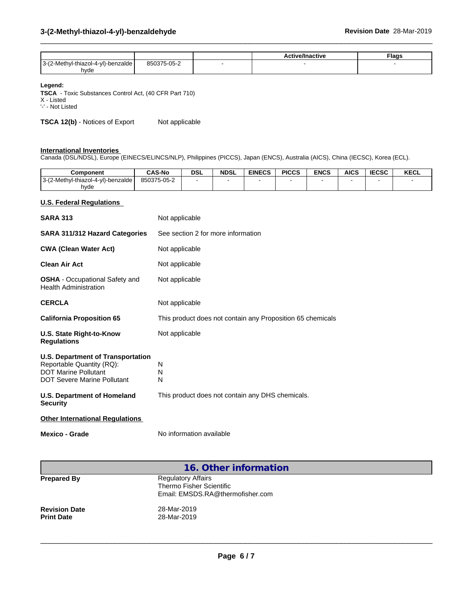|                                                           |             | ive/Inactive<br>. | <b>Flags</b> |
|-----------------------------------------------------------|-------------|-------------------|--------------|
| $2 - l'$<br>(2-Methyl-thiazol-4-yl)-benzalde<br>v<br>hyde | 850375-05-2 |                   |              |

 $\_$  ,  $\_$  ,  $\_$  ,  $\_$  ,  $\_$  ,  $\_$  ,  $\_$  ,  $\_$  ,  $\_$  ,  $\_$  ,  $\_$  ,  $\_$  ,  $\_$  ,  $\_$  ,  $\_$  ,  $\_$  ,  $\_$  ,  $\_$  ,  $\_$  ,  $\_$  ,  $\_$  ,  $\_$  ,  $\_$  ,  $\_$  ,  $\_$  ,  $\_$  ,  $\_$  ,  $\_$  ,  $\_$  ,  $\_$  ,  $\_$  ,  $\_$  ,  $\_$  ,  $\_$  ,  $\_$  ,  $\_$  ,  $\_$  ,

#### **Legend:**

**TSCA** - Toxic Substances Control Act, (40 CFR Part 710)

X - Listed

'-' - Not Listed

**TSCA 12(b)** - Notices of Export Not applicable

#### **International Inventories**

Canada (DSL/NDSL), Europe (EINECS/ELINCS/NLP), Philippines (PICCS), Japan (ENCS), Australia (AICS), China (IECSC), Korea (ECL).

| <b>Component</b>                   | <b>CAS-No</b> | <b>DSL</b> | <b>NDSL</b> | <b>EINECS</b> | <b>PICCS</b> | <b>ENCS</b> | <b>AICS</b> | <b>IECSC</b> | <b>KECL</b> |
|------------------------------------|---------------|------------|-------------|---------------|--------------|-------------|-------------|--------------|-------------|
| 3-(2-Methyl-thiazol-4-yl)-benzalde | 850375-05-2   |            |             |               |              |             |             |              |             |
| hvde                               |               |            |             |               |              |             |             |              |             |

#### **U.S. Federal Regulations**

| <b>SARA 313</b>                                                                                                                            | Not applicable                                             |
|--------------------------------------------------------------------------------------------------------------------------------------------|------------------------------------------------------------|
| <b>SARA 311/312 Hazard Categories</b>                                                                                                      | See section 2 for more information                         |
| <b>CWA (Clean Water Act)</b>                                                                                                               | Not applicable                                             |
| <b>Clean Air Act</b>                                                                                                                       | Not applicable                                             |
| <b>OSHA</b> - Occupational Safety and<br><b>Health Administration</b>                                                                      | Not applicable                                             |
| <b>CERCLA</b>                                                                                                                              | Not applicable                                             |
| <b>California Proposition 65</b>                                                                                                           | This product does not contain any Proposition 65 chemicals |
| U.S. State Right-to-Know<br><b>Regulations</b>                                                                                             | Not applicable                                             |
| <b>U.S. Department of Transportation</b><br>Reportable Quantity (RQ):<br><b>DOT Marine Pollutant</b><br><b>DOT Severe Marine Pollutant</b> | N<br>N<br>N                                                |
| U.S. Department of Homeland<br><b>Security</b>                                                                                             | This product does not contain any DHS chemicals.           |
| <b>Other International Regulations</b>                                                                                                     |                                                            |
| <b>Mexico - Grade</b>                                                                                                                      | No information available                                   |

|                                           | 16. Other information                                                                     |
|-------------------------------------------|-------------------------------------------------------------------------------------------|
| <b>Prepared By</b>                        | <b>Regulatory Affairs</b><br>Thermo Fisher Scientific<br>Email: EMSDS.RA@thermofisher.com |
| <b>Revision Date</b><br><b>Print Date</b> | 28-Mar-2019<br>28-Mar-2019                                                                |